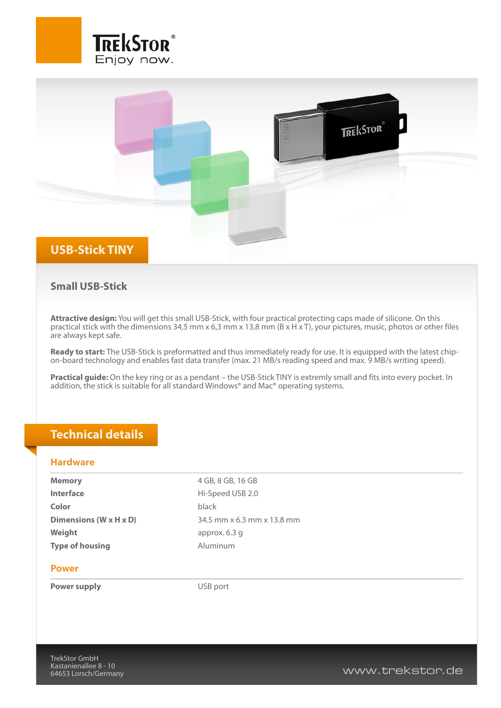



## **Small USB-Stick**

**Attractive design:** You will get this small USB-Stick, with four practical protecting caps made of silicone. On this practical stick with the dimensions 34,5 mm x 6,3 mm x 13,8 mm (B x H x T), your pictures, music, photos or other files are always kept safe.

**Ready to start:** The USB-Stick is preformatted and thus immediately ready for use. It is equipped with the latest chipon-board technology and enables fast data transfer (max. 21 MB/s reading speed and max. 9 MB/s writing speed).

**Practical guide:** On the key ring or as a pendant – the USB-Stick TINY is extremly small and fits into every pocket. In addition, the stick is suitable for all standard Windows® and Mac® operating systems.

## **Technical details**

### **Hardware**

| <b>Memory</b>                        | 4 GB, 8 GB, 16 GB          |
|--------------------------------------|----------------------------|
| <b>Interface</b>                     | Hi-Speed USB 2.0           |
| Color                                | black                      |
| Dimensions ( $W \times H \times D$ ) | 34.5 mm x 6.3 mm x 13.8 mm |
| Weight                               | approx. 6.3 g              |
| <b>Type of housing</b>               | Aluminum                   |
|                                      |                            |

#### **Power**

**Power supply** USB port

www.trekstor.de